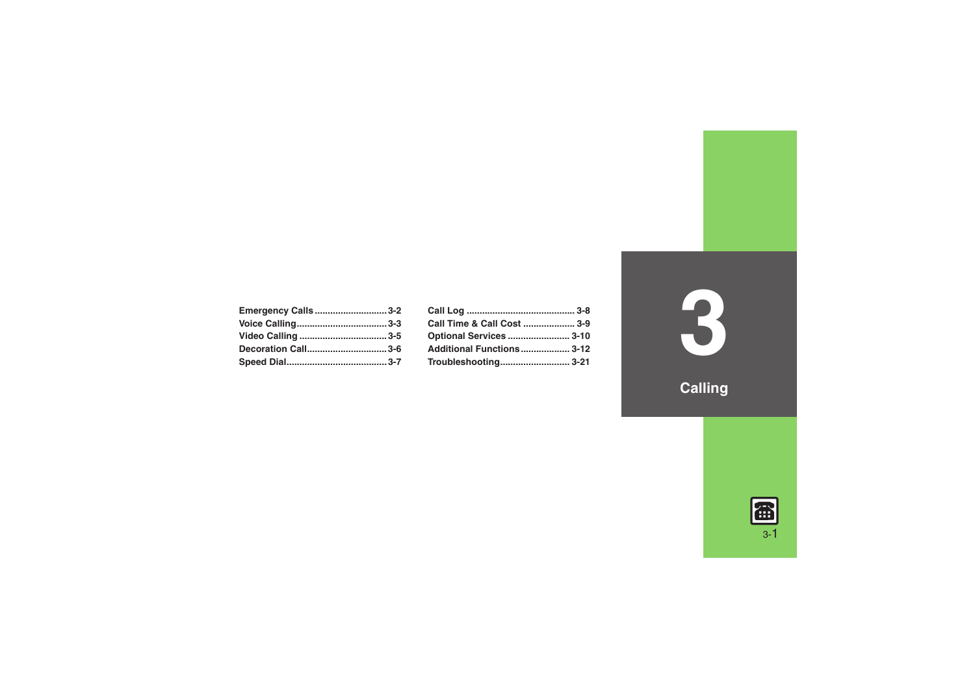| <b>Emergency Calls3-2</b> |  |
|---------------------------|--|
|                           |  |
|                           |  |
| Decoration Call3-6        |  |
|                           |  |

| Call Time & Call Cost  3-9 |  |
|----------------------------|--|
| Optional Services  3-10    |  |
| Additional Functions 3-12  |  |
|                            |  |

**3**

**Calling**

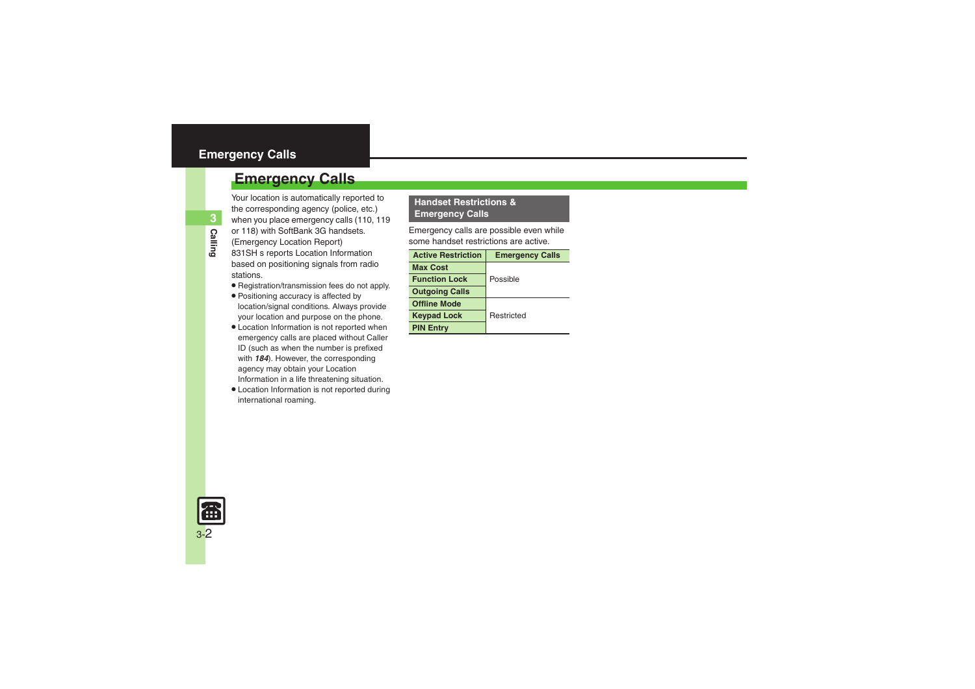### <span id="page-1-0"></span>**Emergency Calls**

Your location is automatically reported to the corresponding agency (police, etc.) when you place emergency calls (110, 119 or 118) with SoftBank 3G handsets. (Emergency Location Report)

- 831SH s reports Location Information based on positioning signals from radio stations.
- . Registration/transmission fees do not apply.
- . Positioning accuracy is affected by location/signal conditions. Always provide your location and purpose on the phone.
- . Location Information is not reported when emergency calls are placed without Caller ID (such as when the number is prefixed with *184*). However, the corresponding agency may obtain your Location Information in a life threatening situation.
- . Location Information is not reported during international roaming.

#### **Handset Restrictions & Emergency Calls**

Emergency calls are possible even while some handset restrictions are active.

| <b>Active Restriction</b> | <b>Emergency Calls</b> |
|---------------------------|------------------------|
| <b>Max Cost</b>           |                        |
| <b>Function Lock</b>      | Possible               |
| <b>Outgoing Calls</b>     |                        |
| <b>Offline Mode</b>       |                        |
| <b>Keypad Lock</b>        | Restricted             |
| <b>PIN Entry</b>          |                        |

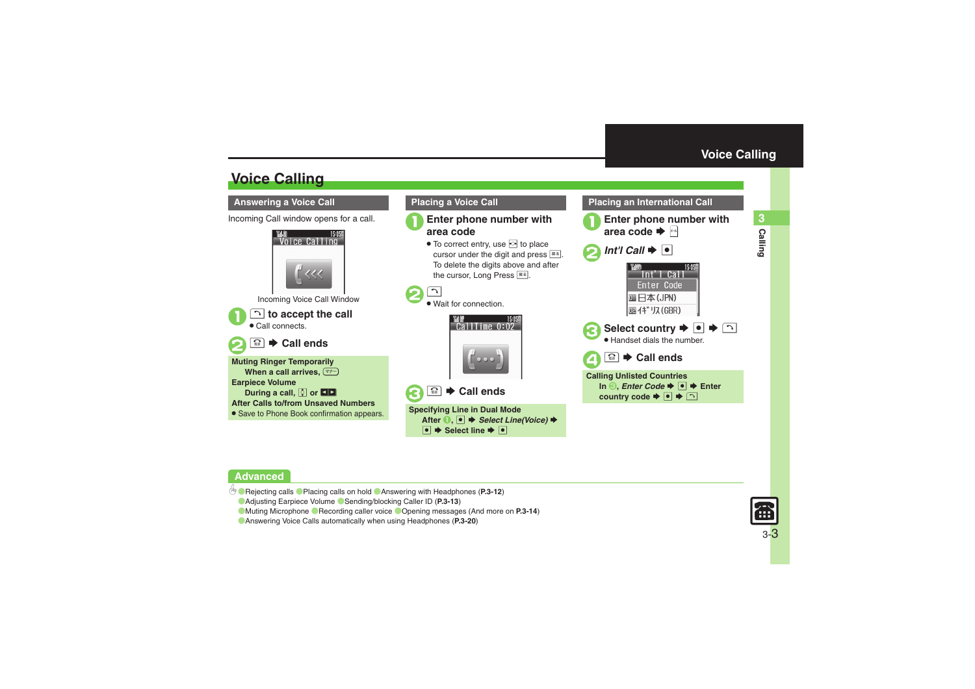## <span id="page-2-1"></span>**Voice Calling**

#### <span id="page-2-2"></span>**Answering a Voice Call**

Incoming Call window opens for a call.



**<b>a**  $\blacktriangleright$  Call ends

**Muting Ringer Temporarily When a call arrives,**  )**Earpiece Volume During a call, ② or QD After Calls to/from Unsaved Numbers• Save to Phone Book confirmation appears.** 



- 1**Enter phone number with area code**
	- $\bullet$  To correct entry, use  $\bullet$  to place cursor under the digit and press  $\boxed{\mathbb{R}^3}$ . To delete the digits above and after the cursor, Long Press <u>≅</u>5.



. Wait for connection.





**Specifying Line in Dual Mode** After **0**, ● **→** Select Line(Voice) →  $\overline{\bullet}$   $\overline{\bullet}$  Select line  $\overline{\bullet}$   $\overline{\bullet}$ 



<span id="page-2-0"></span>**Placing an International Call**

### **Advanced**

 $\mathbf 0$ 

 $\boldsymbol{\Theta}$ 

- b **• [Rejecting calls](#page-11-1) • [Placing calls on hold](#page-11-2) • [Answering with Headphones](#page-11-3) ([P.3-12](#page-11-1))** 
	- ([Adjusting Earpiece Volume](#page-12-0) ([Sending/blocking Caller ID](#page-12-1) (**[P.3-13](#page-12-1)**)
	- **[Muting Microphone](#page-13-0) C** [Recording caller voice](#page-13-1) C [Opening messages](#page-13-2) (And more on [P.3-14](#page-13-0))
	- ([Answering Voice Calls automatically when using Headphones](#page-19-0) (**[P.3-20](#page-19-0)**)

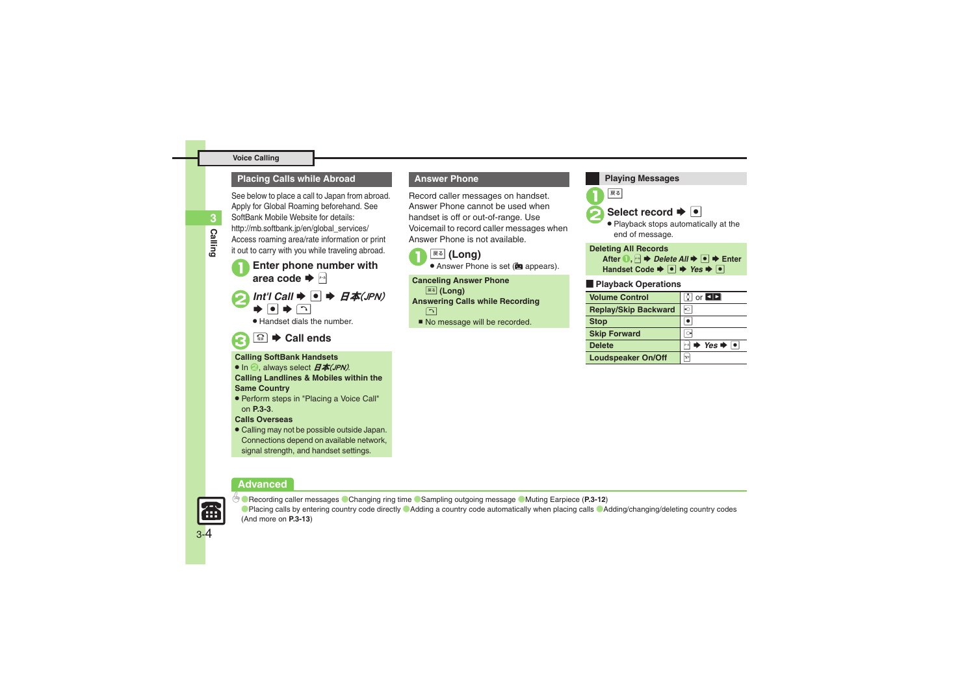#### **Voice Calling**

#### **Placing Calls while Abroad**

See below to place a call to Japan from abroad. Apply for Global Roaming beforehand. See SoftBank Mobile Website for details: http://mb.softbank.jp/en/global\_services/ Access roaming area/rate information or print it out to carry with you while traveling abroad.

**Enter phone number with** area code  $\blacktriangleright$   $\boxdot$ 

2*Int'l Call* <sup>S</sup> % <sup>S</sup> 日本(JPN) S $\blacktriangleright$  0  $\blacktriangleright$  0

. Handset dials the number.

### $\overline{\mathbb{C}}$   $\blacktriangleright$  Call ends

#### **Calling SoftBank Handsets**

- In  $\Theta$ , always select  $H$ 本(JPN).
- **Calling Landlines & Mobiles within the Same Country**
- . Perform steps in "Placing a Voice Call" on **[P.3-3](#page-2-1)**.

#### **Calls Overseas**

. Calling may not be possible outside Japan. Connections depend on available network, signal strength, and handset settings.

#### **Advanced**



3-4

0([Recording caller messages](#page-11-4) ([Changing ring time](#page-11-5) ([Sampling outgoing message](#page-11-6) ([Muting Earpiece](#page-11-7) (**[P.3-12](#page-11-7)**) **C**[Placing calls by entering country code directly](#page-12-2) **C**[Adding a country code automatically when placing calls](#page-12-3) **C[Adding/changing/deleting country codes](#page-12-4)** (And more on **[P.3-13](#page-12-4)**)

#### **Answer Phone**

Record caller messages on handset. Answer Phone cannot be used when handset is off or out-of-range. Use Voicemail to record caller messages when Answer Phone is not available.





**Canceling Answer Phone E&** (Long) **Answering Calls while Recording** ন

No message will be recorded.

展る **Select record**  $\rightarrow \bullet$  Playback stops automatically at the end of message. [ **Playback Operations Playing Messages Deleting All Records** After **0**,  $\boxdot \blacklozenge$  *Delete All*  $\blacklozenge$   $\blacklozenge$  **Enter Handset Code**  $\rightarrow \blacksquare$   $\rightarrow$  *Yes*  $\rightarrow \blacksquare$ **Volume Control** $\circ$  or **EID Replay/Skip Backward Stop b Skip Forward dec Delete** $P \Rightarrow Yes \Rightarrow \Box$ 

**Loudspeaker On/Off**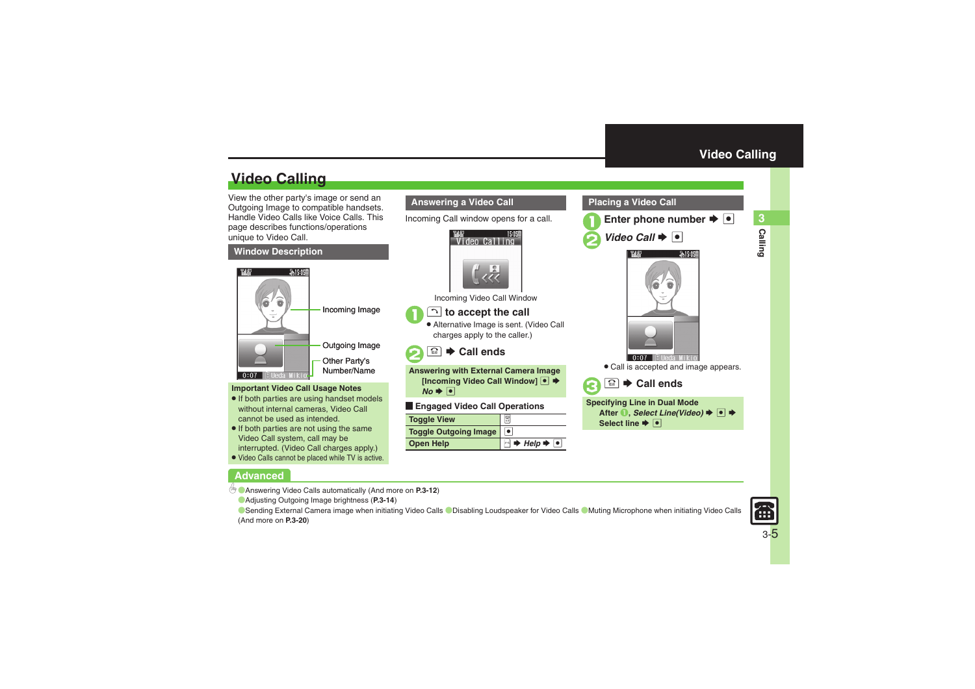**Calling 3**

Calling

## **Video Calling**

View the other party's image or send an Outgoing Image to compatible handsets. Handle Video Calls like Voice Calls. This page describes functions/operations unique to Video Call.

#### **Window Description**



#### **Important Video Call Usage Notes**

- If both parties are using handset models without internal cameras, Video Call cannot be used as intended.
- If both parties are not using the same Video Call system, call may be interrupted. (Video Call charges apply.)
- . Video Calls cannot be placed while TV is active.

### **Advanced**

b ([Answering Video Calls automatically](#page-11-8) (And more on **[P.3-12](#page-11-8)**)

([Adjusting Outgoing Image brightness](#page-13-3) (**[P.3-14](#page-13-3)**)

O[Sending External Camera image when initiating Video Calls](#page-19-1) O[Disabling Loudspeaker for Video Calls](#page-19-2) O[Muting Microphone when initiating Video Calls](#page-19-3) (And more on **[P.3-20](#page-19-1)**)

Incoming Call window opens for a call.

Video Calling

 $15.05E$ 

**Answering a Video Call**

Incoming Video Call Window

**Answering with External Camera Image [Incoming Video Call Window]** ● ◆

**B** 

 $\overline{\bullet}$ 

 $\overline{\phantom{a}}$ 

 $\rightarrow$  *Help*  $\rightarrow$  **O** 

! **to accept the call** . Alternative Image is sent. (Video Call charges apply to the caller.)

**<u><sup>■</sup></u>**  $\bullet$  **Call ends** 

[ **Engaged Video Call Operations**

 $\mathbf 0$ 

 $\boldsymbol{\Theta}$ 

 $No \rightarrow \lceil \bullet \rceil$ 

**Toggle Outgoing Image**

**Toggle View**

**Open Help**



#### <span id="page-4-0"></span>**Placing a Video Call**





. Call is accepted and image appears.



**Specifying Line in Dual Mode After ●, Select Line(Video) → ● Select line**  $\blacktriangleright$  **<sup>O</sup>**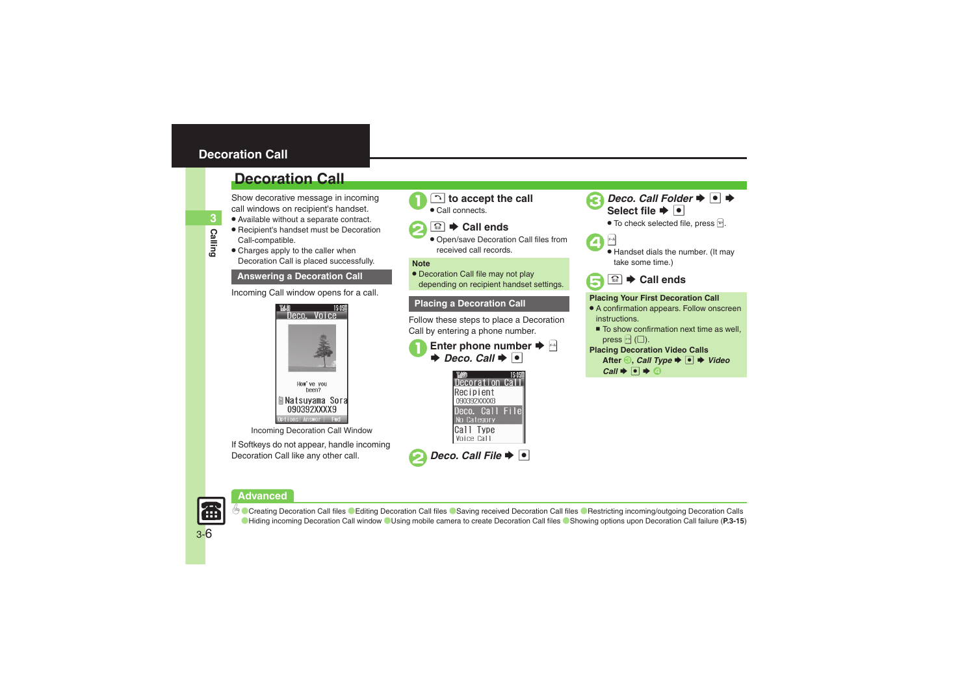### <span id="page-5-0"></span>**Decoration Call**

### **Decoration Call**

Show decorative message in incoming call windows on recipient's handset.

- . Available without a separate contract.
- . Recipient's handset must be Decoration Call-compatible.
- Charges apply to the caller when Decoration Call is placed successfully.

#### **Answering a Decoration Call**

Incoming Call window opens for a call.



Incoming Decoration Call Window

If Softkeys do not appear, handle incoming Decoration Call like any other call.





Call connects.



 Open/save Decoration Call files from received call records.

#### **Note**

• Decoration Call file may not play depending on recipient handset settings.

Follow these steps to place a Decoration Call by entering a phone number.







*Deco. Call Folder*  $\rightarrow$  <sup>●</sup>  $\rightarrow$ Select file  $\blacktriangleright$   $|\bullet|$ 

 $\bullet$  To check selected file, press  $\boxed{\mathbb{F}}$ .







### **Placing a Decoration Call <b>Placing Your First Decoration Call**

- A confirmation appears. Follow onscreen instructions.
	- To show confirmation next time as well, press  $\mathbb{F}$  ( $\Box$ ).

#### **Placing Decoration Video Calls**

```
After \bigcirc, Call Type \bigcirc \bigcirc \bigcirc \bigcirc Video
 Call \Rightarrow \bullet \Rightarrow \circ
```
**Advanced**



© [Creating Decoration Call files](#page-14-0) ([Editing Decoration Call files](#page-14-1) ([Saving received Decoration Call files](#page-14-2) (Restricting incoming/outgoing Decoration Calls ([Hiding incoming Decoration Call window](#page-14-4) ([Using mobile camera to create Decoration Call files](#page-14-5) ([Showing options upon Decoration Call failure](#page-14-6) (**[P.3-15](#page-14-0)**)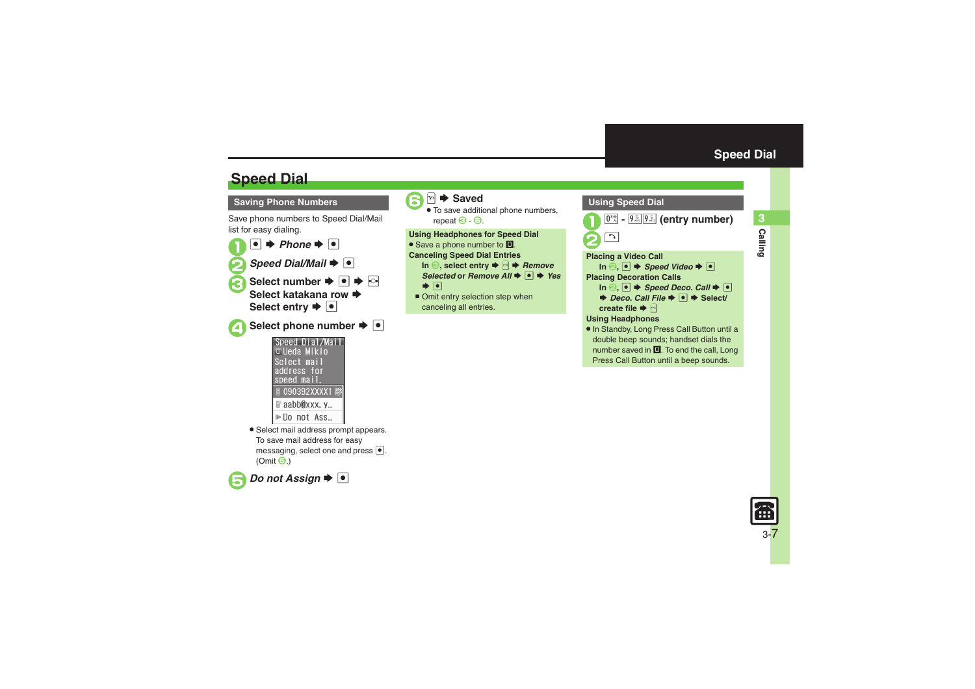**Calling 3**

**Calling** 

## **Speed Dial**

**Saving Phone Numbers**

Save phone numbers to Speed Dial/Mail list for easy dialing.

- $\mathbf 0$  $\bullet$   $\bullet$  *Phone*  $\bullet$   $\bullet$ **2** Speed Dial/Mail  $\blacktriangleright$  <sup>1</sup>
- Select number **→** → <del>⊙</del> **Select katakana row ➡ Select entry**  $\blacklozenge$  $\boxed{\bullet}$
- ▲ Select phone number **▶**
	- Speed Dial/Mail **D** Ueda Mikio Select mail address for speed mail. 090392XXXX1 la aabb@xxx. y... I⊳Do not Ass...
	- . Select mail address prompt appears. To save mail address for easy messaging, select one and press  $\bullet$ . (Omit **⊖**.)





. To save additional phone numbers, repeat  $\Theta$  -  $\Theta$ .  $\overline{6}$  -  $\overline{6}$ .

**Using Headphones for Speed Dial** • Save a phone number to **I**. **Canceling Speed Dial Entries In ☉, select entry ♦ 2 ♦** *Remove Selected* or *Remove* All  $\blacktriangleright$  **Ⅰ**  $\blacktriangleright$  *Yes* 

- $\blacktriangleright$   $\lhd$
- Omit entry selection step when canceling all entries.

<span id="page-6-0"></span>

Press Call Button until a beep sounds.

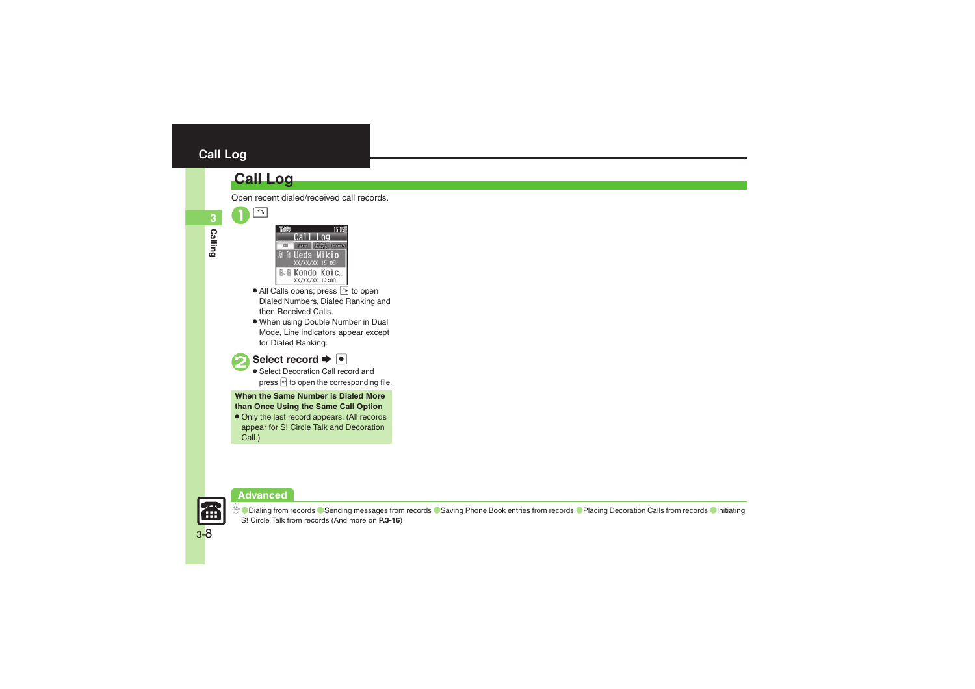### <span id="page-7-0"></span>**Call Log**

### **Call Log**

 $\overline{\mathcal{N}}$ 

**Calling 3**

- 15 OSE YY /YY /YY B. M Kondo Koic... XX/XX/XX 12:00
- $\bullet$  All Calls opens; press  $\circlearrowright$  to open Dialed Numbers, Dialed Ranking and then Received Calls.
- . When using Double Number in Dual Mode, Line indicators appear except for Dialed Ranking.



### **Select record**  $\rightarrow \bullet$

 Select Decoration Call record and press  $\mathbb{F}$  to open the corresponding file.

**When the Same Number is Dialed More than Once Using the Same Call Option**

. Only the last record appears. (All records appear for S! Circle Talk and Decoration Call.)





**b** [Dialing from records](#page-15-0) [Sending messages from records](#page-15-1) [Saving Phone Book entries from records](#page-15-2) [Placing Decoration Calls from records](#page-15-3) Clnitiating S! [Circle Talk from records](#page-15-4) (And more on **[P.3-16](#page-15-0)**)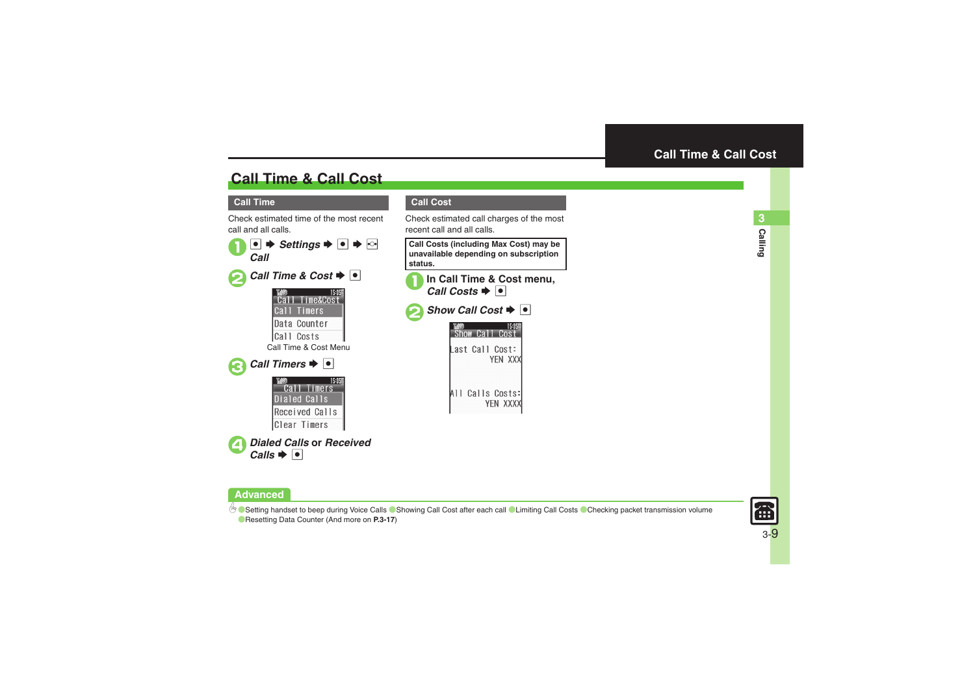## **Call Time & Call Cost**

#### **Call Time**

Check estimated time of the most recent call and all calls.



#### <span id="page-8-0"></span>**Call Cost**

Check estimated call charges of the most recent call and all calls.

**Call Costs (including Max Cost) may be unavailable depending on subscription status.**



All Calls Costs:

YEN XXXX

**Advanced**

4 **[Setting handset to beep during Voice Calls](#page-16-0) [Showing Call Cost after each call](#page-16-1) C[Limiting Call Costs](#page-16-2) C[Checking packet transmission volume](#page-16-3)** ([Resetting Data Counter](#page-16-4) (And more on **[P.3-17](#page-16-0)**)

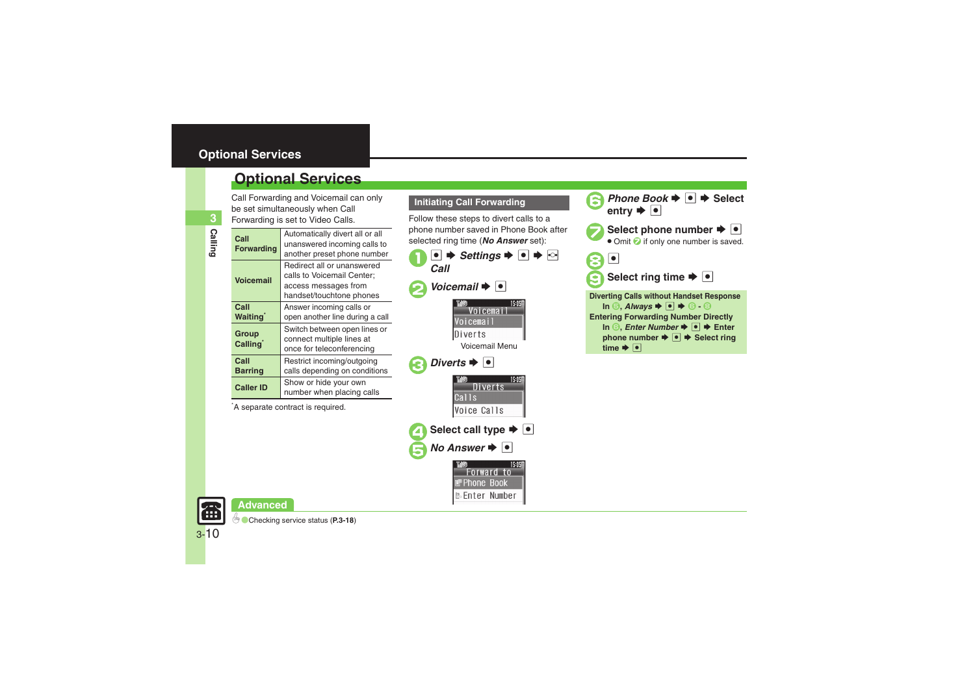### <span id="page-9-0"></span>**Optional Services**

Call Forwarding and Voicemail can only be set simultaneously when Call

| be set simultaneously when Call<br>Forwarding is set to Video Calls. |                                                                                                              |  |
|----------------------------------------------------------------------|--------------------------------------------------------------------------------------------------------------|--|
| Call<br><b>Forwarding</b>                                            | Automatically divert all or all<br>unanswered incoming calls to<br>another preset phone number               |  |
| <b>Voicemail</b>                                                     | Redirect all or unanswered<br>calls to Voicemail Center:<br>access messages from<br>handset/touchtone phones |  |
| Call<br><b>Waiting</b>                                               | Answer incoming calls or<br>open another line during a call                                                  |  |
| Group<br>Calling <sup>*</sup>                                        | Switch between open lines or<br>connect multiple lines at<br>once for teleconferencing                       |  |
| Call<br><b>Barring</b>                                               | Restrict incoming/outgoing<br>calls depending on conditions                                                  |  |
| <b>Caller ID</b>                                                     | Show or hide your own<br>number when placing calls                                                           |  |

\*A separate contract is required.

#### **Initiating Call Forwarding**

Follow these steps to divert calls to a phone number saved in Phone Book after selected ring time (*No Answer* set):



15:05

Forward to Phone Book **B** Enter Number

**8** Phone Book  $\Rightarrow$  **Select** entry  $\Rightarrow$  **O** Select phone number  $\blacktriangleright \blacktriangleright$ • Omit  $\bigcirc$  if only one number is saved. 8 d **Select ring time**  $\rightarrow$  **<sup>o</sup> Diverting Calls without Handset Response**  $\blacksquare$  **In**  $\odot$ **, Always**  $\blacktriangleright$   $\blacksquare$   $\blacktriangleright$   $\odot$   $\blacksquare$ **Entering Forwarding Number Directly In** *S***,** *Enter Number* $\blacktriangleright$  **<sup>●</sup> → Enter phone number**  $\rightarrow \bullet$  $\rightarrow$  **Select ring** time  $\blacktriangleright$   $\lceil \bullet \rceil$ 



**Advanced**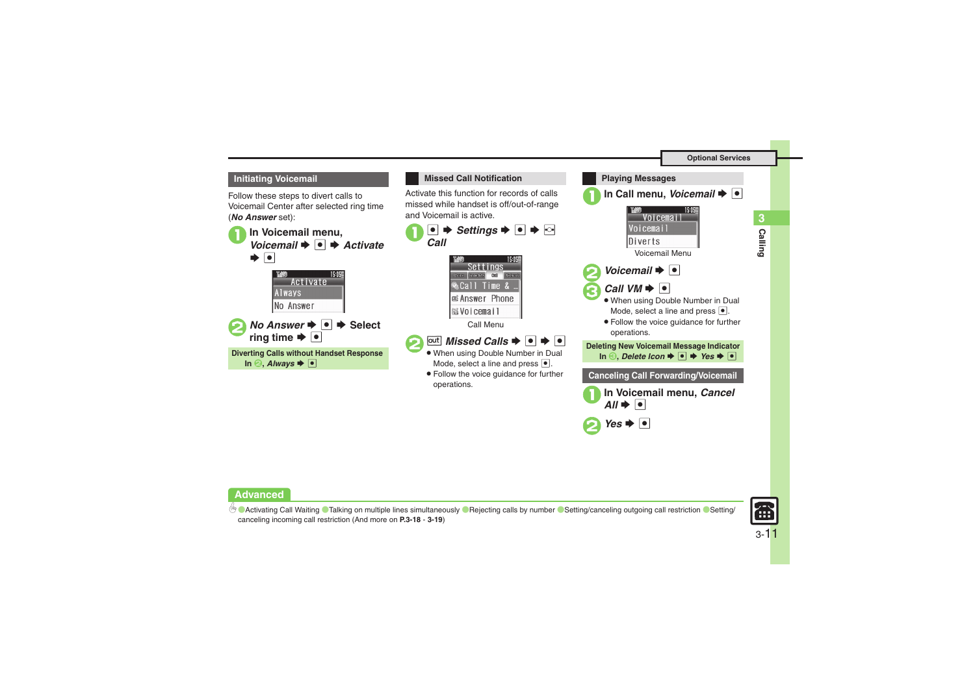

Follow these steps to divert calls to Voicemail Center after selected ring time (*No Answer* set):





 $\bullet$  Yes  $\bullet$   $\bullet$ 

#### **Advanced**

4 **[Activating Call Waiting](#page-17-1) [Talking on multiple lines simultaneously](#page-17-2) [Rejecting calls by number](#page-17-3) [Setting/canceling outgoing call restriction](#page-18-0) [Setting/](#page-18-1)** [canceling incoming call restriction](#page-18-1) (And more on **[P.3-18](#page-17-1)** - **[3-19](#page-18-1)**)



**Calling 3**

Calling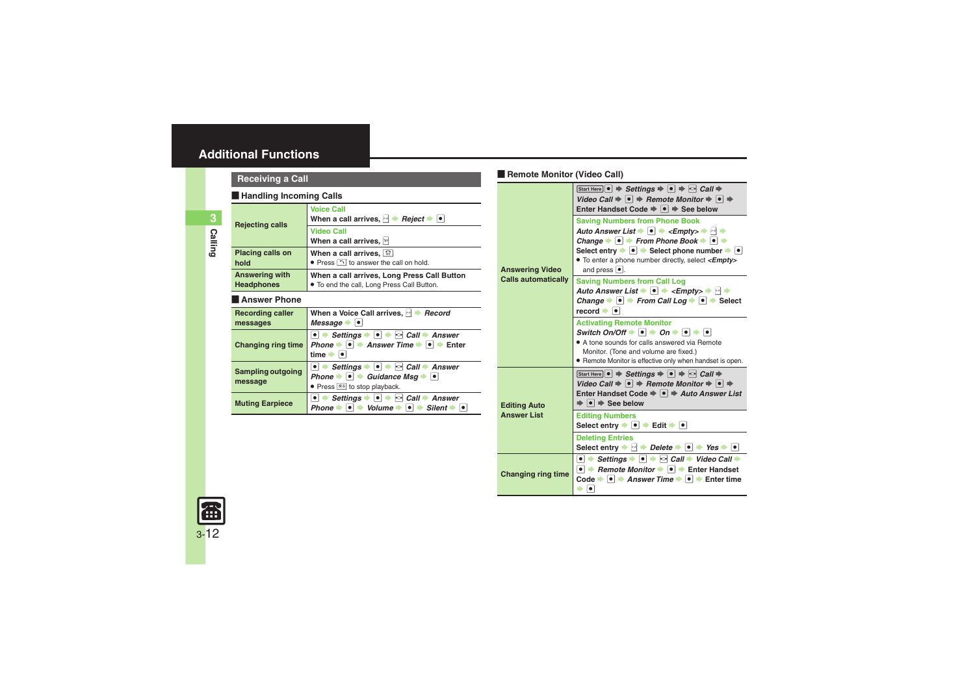#### [ **Handling Incoming Calls**

<span id="page-11-5"></span><span id="page-11-4"></span><span id="page-11-3"></span><span id="page-11-2"></span><span id="page-11-1"></span>

| <b>Handling Incoming Calls</b>             |                                                                                                                                                                                                                             |  |
|--------------------------------------------|-----------------------------------------------------------------------------------------------------------------------------------------------------------------------------------------------------------------------------|--|
| <b>Rejecting calls</b>                     | <b>Voice Call</b><br>When a call arrives, $\mathbb{R}$ <b>P</b> Reject $\blacktriangleright$ <b>.</b>                                                                                                                       |  |
|                                            | <b>Video Call</b><br>When a call arrives, M                                                                                                                                                                                 |  |
| <b>Placing calls on</b><br>hold            | When a call arrives, $\boxed{\mathfrak{D}}$<br>• Press $\bigcap$ to answer the call on hold.                                                                                                                                |  |
| <b>Answering with</b><br><b>Headphones</b> | When a call arrives, Long Press Call Button<br>. To end the call, Long Press Call Button.                                                                                                                                   |  |
| Answer Phone                               |                                                                                                                                                                                                                             |  |
| <b>Recording caller</b><br>messages        | When a Voice Call arrives, A Record<br>Message $\rightarrow$ $\mid \bullet \mid$                                                                                                                                            |  |
| <b>Changing ring time</b>                  | $\bullet$ $\bullet$ Settings $\bullet$ $\bullet$ $\bullet$ $\bullet$ Call $\bullet$ Answer<br>Phone $\bullet$ $\bullet$ $\bullet$ Answer Time $\bullet$ $\bullet$ $\bullet$ Enter<br>time $\rightarrow$ $\mid \bullet \mid$ |  |
| <b>Sampling outgoing</b><br>message        | $\bullet$ $\bullet$ Settings $\bullet$ $\bullet$ $\bullet$ $\bullet$ Call $\bullet$ Answer<br>Phone $\bullet \bullet \bullet$ Guidance Msq $\bullet \bullet$<br>• Press $\overline{\mathbb{R}^3}$ to stop playback.         |  |
| <b>Muting Earpiece</b>                     | $\bullet$ $\bullet$ Settings $\bullet$ $\bullet$ $\bullet$ $\bullet$ Call $\bullet$ Answer<br>Volume $\Rightarrow$<br>∣∙⊦<br>$Silent \rightarrow \bullet$<br>Phone $\Rightarrow$<br>$  \bullet  $                           |  |

### <span id="page-11-0"></span>[ **Remote Monitor (Video Call) Receiving a Call**

<span id="page-11-8"></span>

|                            | Start Here $\bullet \Rightarrow$ Settings $\Rightarrow \bullet \Rightarrow$ $\circ$ Call $\Rightarrow$<br>Video Call $\Rightarrow$ $\bullet$ $\Rightarrow$ Remote Monitor $\Rightarrow$ $\bullet$ $\Rightarrow$<br>Enter Handset Code $\Rightarrow$ $\bullet$ $\Rightarrow$ See below                                                                                                                                                                                               |
|----------------------------|-------------------------------------------------------------------------------------------------------------------------------------------------------------------------------------------------------------------------------------------------------------------------------------------------------------------------------------------------------------------------------------------------------------------------------------------------------------------------------------|
| <b>Answering Video</b>     | <b>Saving Numbers from Phone Book</b><br>Auto Answer List $\blacktriangleright$ $\blacktriangleright$ $\blacktriangleright$ $\preceq$ Empty $\blacktriangleright$ $\blacktriangleright$ $\blacktriangleright$<br>Change $\rightarrow \bullet$ From Phone Book $\rightarrow \bullet$<br>Select entry $\rightarrow \bullet$ $\rightarrow$ Select phone number $\rightarrow \bullet$<br>• To enter a phone number directly, select <empty><br/>and press <math>\bullet</math>.</empty> |
| <b>Calls automatically</b> | <b>Saving Numbers from Call Log</b><br>Auto Answer List $\blacktriangleright$ $\blacktriangleright$ $\blacktriangleright$ $\ltimes$ Empty $\gt \blacktriangleright$ $\bowtie$ $\blacktriangleright$<br>Change $\rightarrow \bullet$ From Call Log $\rightarrow \bullet$ Select<br>$record \rightarrow \bullet$                                                                                                                                                                      |
|                            | <b>Activating Remote Monitor</b><br>Switch On/Off $\rightarrow$ $\rightarrow$ On $\rightarrow$ $\rightarrow$ $\rightarrow$ $\rightarrow$ $\rightarrow$<br>• A tone sounds for calls answered via Remote<br>Monitor. (Tone and volume are fixed.)<br>• Remote Monitor is effective only when handset is open.                                                                                                                                                                        |
| <b>Editing Auto</b>        | Start Here $\bullet \Rightarrow$ Settings $\Rightarrow \bullet \Rightarrow$ $\circ$ Call $\Rightarrow$<br>Video Call $\Rightarrow \bullet \Rightarrow$ Remote Monitor $\Rightarrow \bullet \Rightarrow$<br>Enter Handset Code $\Rightarrow$ $\bullet$ $\Rightarrow$ Auto Answer List<br>$\Rightarrow$ $\bullet$ $\Rightarrow$ See below                                                                                                                                             |
| <b>Answer List</b>         | <b>Editing Numbers</b><br>Select entry $\rightarrow$ $\rightarrow$ Edit $\rightarrow$ $\rightarrow$                                                                                                                                                                                                                                                                                                                                                                                 |
|                            | <b>Deleting Entries</b><br>Select entry $\Rightarrow$ $\rightarrow$ Delete $\Rightarrow$ $\bullet$ $\Rightarrow$ Yes $\rightarrow$ $\circ$                                                                                                                                                                                                                                                                                                                                          |
| <b>Changing ring time</b>  | $\bullet$ $\bullet$ Settings $\bullet$ $\bullet$ $\bullet$ $\bullet$ Call $\bullet$ Video Call $\bullet$<br>• $\rightarrow$ Remote Monitor $\rightarrow$ $\rightarrow$ Enter Handset<br>Code $\Rightarrow$ $\bullet$ $\Rightarrow$ Answer Time $\Rightarrow$ $\bullet$ $\Rightarrow$ Enter time<br>$\bullet$                                                                                                                                                                        |

<span id="page-11-7"></span><span id="page-11-6"></span>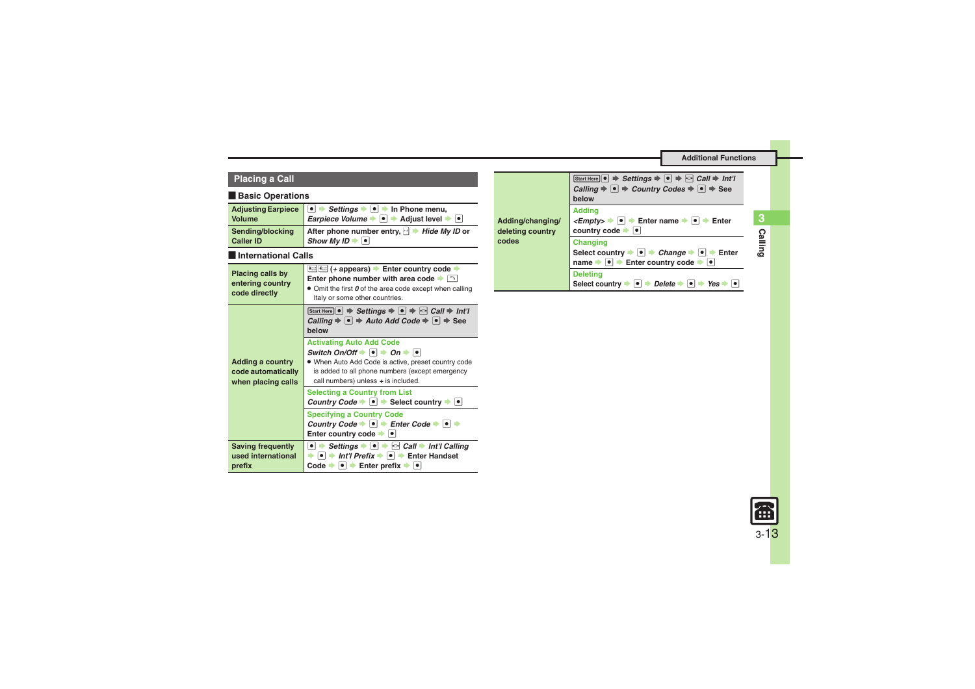### **Placing a Call**

#### [ **Basic Operations**

<span id="page-12-3"></span><span id="page-12-2"></span><span id="page-12-1"></span><span id="page-12-0"></span>

| <b>Adjusting Earpiece</b><br><b>Volume</b>                          | • $\rightarrow$ Settings $\rightarrow$ • $\rightarrow$ In Phone menu,<br><i>Earpiece Volume</i> $\bullet$ $\bullet$ $\bullet$ Adjust level $\bullet$ $\bullet$                                                                                          |  |
|---------------------------------------------------------------------|---------------------------------------------------------------------------------------------------------------------------------------------------------------------------------------------------------------------------------------------------------|--|
| Sending/blocking<br><b>Caller ID</b>                                | After phone number entry, $\rightarrow$ Hide My ID or<br>Show My ID $\blacktriangleright$ $\lceil \bullet \rceil$                                                                                                                                       |  |
| <b>International Calls</b>                                          |                                                                                                                                                                                                                                                         |  |
| Placing calls by<br>entering country<br>code directly               | <del>⊀</del> (+ appears) → Enter country code →<br>Enter phone number with area code $\blacktriangleright$ $\lceil \cdot \rceil$<br>• Omit the first $\boldsymbol{\theta}$ of the area code except when calling<br>Italy or some other countries.       |  |
|                                                                     | Start Here $\bullet \Rightarrow$ Settings $\Rightarrow \bullet \Rightarrow$ Call $\Rightarrow$ Int'l<br>Calling $\Rightarrow$ $\bullet$ $\Rightarrow$ Auto Add Code $\Rightarrow$ $\bullet$ $\Rightarrow$ See<br>helow                                  |  |
| <b>Adding a country</b><br>code automatically<br>when placing calls | <b>Activating Auto Add Code</b><br>Switch On/Off $\bullet$ $\bullet$ $\bullet$ On $\bullet$ $\bullet$<br>. When Auto Add Code is active, preset country code<br>is added to all phone numbers (except emergency<br>call numbers) unless + is included.  |  |
|                                                                     | <b>Selecting a Country from List</b><br>Country Code $\rightarrow \bullet$ Select country $\rightarrow \bullet$                                                                                                                                         |  |
|                                                                     | <b>Specifying a Country Code</b><br>Country Code $\bullet \bullet \bullet$ Enter Code $\bullet \bullet \bullet$<br>Enter country code $\rightarrow$ [ $\bullet$ ]                                                                                       |  |
| <b>Saving frequently</b><br>used international<br>prefix            | • $\rightarrow$ Settings $\rightarrow$ • $\rightarrow$ $\sim$ Call $\rightarrow$ Int'l Calling<br>$\bullet$ $\bullet$ Int'l Prefix $\bullet$ $\bullet$ $\bullet$ Enter Handset<br>Code $\rightarrow \rightarrow$ Enter prefix $\rightarrow \rightarrow$ |  |

<span id="page-12-4"></span>

| Adding/changing/<br>deleting country<br>codes | Start Here $\bullet \Rightarrow$ Settings $\Rightarrow \bullet \Rightarrow$ Call $\Rightarrow$ Int'l<br>Calling $\Rightarrow$ $\bullet$ $\Rightarrow$ Country Codes $\Rightarrow$ $\bullet$ $\Rightarrow$ See<br>below |
|-----------------------------------------------|------------------------------------------------------------------------------------------------------------------------------------------------------------------------------------------------------------------------|
|                                               | <b>Addina</b><br>$\leq$ <i>Empty&gt;</i> $\rightarrow$   $\bullet$   $\rightarrow$ Enter name $\rightarrow$   $\bullet$   $\rightarrow$ Enter<br>country code $\bullet$                                                |
|                                               | <b>Changing</b><br>Select country $\bullet$ $\bullet$ $\bullet$ Change $\bullet$ $\bullet$ $\bullet$ Enter<br>name $\Rightarrow \bullet$ Fnter country code $\Rightarrow \bullet$                                      |
|                                               | <b>Deleting</b><br>Select country<br>Delete<br>⊹∣●∥≀<br>Yes                                                                                                                                                            |



**Calling**

**3**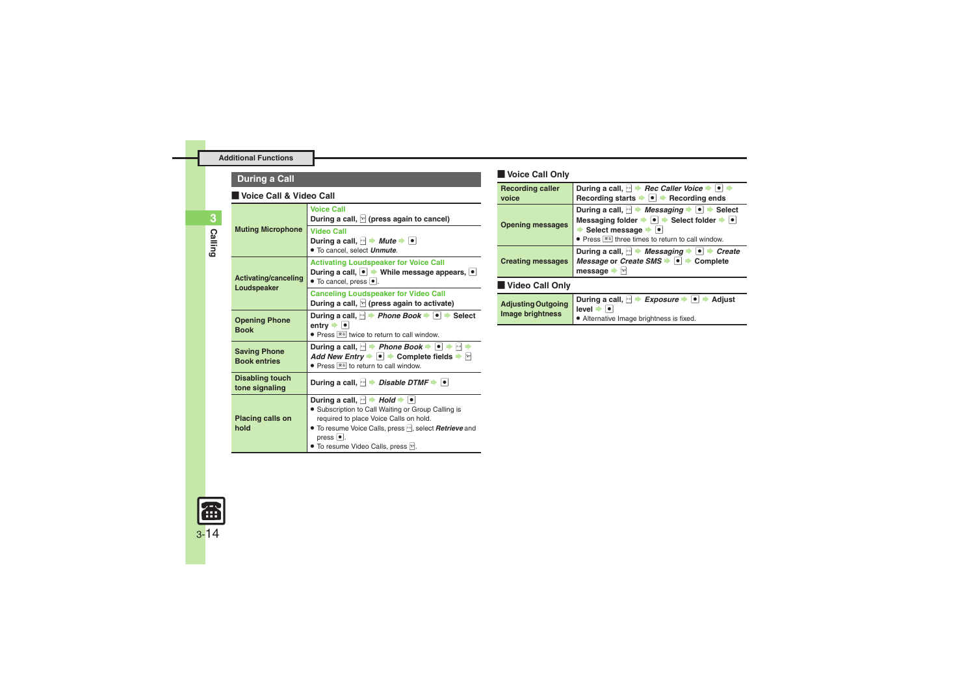### **During a Call**

#### [ **Voice Call & Video Call**

<span id="page-13-0"></span>

| <b>Muting Microphone</b>                   | <b>Voice Call</b><br>During a call, $\mathbb{F}$ (press again to cancel)                                                                                                                                                                                                                        |  |
|--------------------------------------------|-------------------------------------------------------------------------------------------------------------------------------------------------------------------------------------------------------------------------------------------------------------------------------------------------|--|
|                                            | <b>Video Call</b><br>During a call, $ \cdot $ $\rightarrow$ <i>Mute</i> $\rightarrow$ $ \cdot $<br>. To cancel, select Unmute.                                                                                                                                                                  |  |
| <b>Activating/canceling</b><br>Loudspeaker | <b>Activating Loudspeaker for Voice Call</b><br>During a call, $\bullet \Rightarrow$ While message appears, $\bullet$<br>$\bullet$ To cancel, press $\bullet$ .                                                                                                                                 |  |
|                                            | <b>Canceling Loudspeaker for Video Call</b><br>During a call, $\mathbb{F}$ (press again to activate)                                                                                                                                                                                            |  |
| <b>Opening Phone</b><br><b>Book</b>        | During a call, $\rightarrow$ Phone Book $\rightarrow$ [ $\bullet$ ] $\rightarrow$ Select<br>entry →  ● <br>• Press $\overline{R}$ twice to return to call window.                                                                                                                               |  |
| <b>Saving Phone</b><br><b>Book entries</b> | During a call, $\rightarrow$ Phone Book $\rightarrow \rightarrow$<br>Add New Entry $\bullet$ $\bullet$ $\bullet$ Complete fields $\bullet$ $\triangleright$<br>• Press $ \overline{*} \$ to return to call window.                                                                              |  |
| <b>Disabling touch</b><br>tone signaling   | During a call, $\lvert \cdot \rvert$ $\Rightarrow$ Disable DTMF $\Rightarrow \lvert \cdot \rvert$                                                                                                                                                                                               |  |
| <b>Placing calls on</b><br>hold            | During a call, $ \cdot $ $\rightarrow$ Hold $\rightarrow$ $\bullet$<br>• Subscription to Call Waiting or Group Calling is<br>required to place Voice Calls on hold.<br>• To resume Voice Calls, press -, select <b>Retrieve</b> and<br>press $\bullet$ .<br>• To resume Video Calls, press [v]. |  |

#### [ **Voice Call Only**

<span id="page-13-2"></span><span id="page-13-1"></span>

| <b>Recording caller</b><br>voice              | During a call, $\rightarrow$ Rec Caller Voice $\rightarrow \rightarrow \rightarrow$<br>Recording starts $\rightarrow \bullet$ Recording ends                                                                                                                                                          |  |
|-----------------------------------------------|-------------------------------------------------------------------------------------------------------------------------------------------------------------------------------------------------------------------------------------------------------------------------------------------------------|--|
| <b>Opening messages</b>                       | During a call, $\rightarrow$ <i>Messaging</i> $\rightarrow$ <b>.</b> Select<br>Messaging folder $\rightarrow \bullet$ $\rightarrow$ Select folder $\rightarrow \bullet$<br>Select message $\blacktriangleright$ $\blacktriangleright$<br>• Press $\overline{1}$ three times to return to call window. |  |
| <b>Creating messages</b>                      | During a call, $\rightarrow$ Messaging $\rightarrow$ $\rightarrow$ Create<br>Message or Create SMS $\rightarrow$ $\rightarrow$ Complete<br>message<br><b>Y</b>                                                                                                                                        |  |
| Video Call Only                               |                                                                                                                                                                                                                                                                                                       |  |
| <b>Adjusting Outgoing</b><br>Image brightness | During a call, $\rightarrow$ Exposure $\rightarrow$ $\rightarrow$ $\rightarrow$<br>Adiust<br>$level =$<br>. Allegan address has a control of a basic of a floor of                                                                                                                                    |  |

<span id="page-13-3"></span>. Alternative Image brightness is fixed.

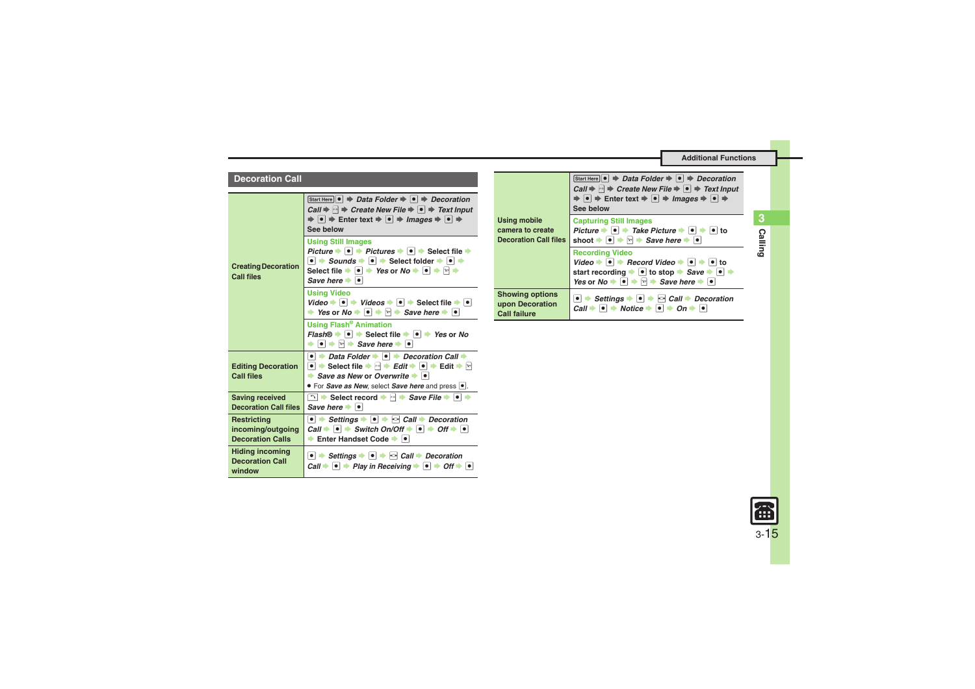#### **Decoration Call**

<span id="page-14-4"></span><span id="page-14-3"></span><span id="page-14-2"></span><span id="page-14-1"></span><span id="page-14-0"></span>

|                                                             | Start Here $\bullet \Rightarrow$ Data Folder $\Rightarrow \bullet \Rightarrow$ Decoration<br>Call $\Rightarrow$ $\Box$ $\Rightarrow$ Create New File $\Rightarrow$ $\bullet$ $\Rightarrow$ Text Input<br>$\Rightarrow$ $\bullet$ $\Rightarrow$ Enter text $\Rightarrow$ $\bullet$ $\Rightarrow$ Images $\Rightarrow$ $\bullet$ $\Rightarrow$<br>See below                                                               |
|-------------------------------------------------------------|-------------------------------------------------------------------------------------------------------------------------------------------------------------------------------------------------------------------------------------------------------------------------------------------------------------------------------------------------------------------------------------------------------------------------|
| <b>Creating Decoration</b><br><b>Call files</b>             | <b>Using Still Images</b><br>Picture $\rightarrow \rightarrow$ Pictures $\rightarrow \rightarrow$ Select file $\rightarrow$<br>$\bullet$ $\bullet$ Sounds $\bullet$ $\bullet$ $\bullet$ Select folder $\bullet$ $\bullet$ $\bullet$<br>Select file $\Rightarrow$ $\bullet$ $\Rightarrow$ Yes or No $\Rightarrow$ $\bullet$ $\Rightarrow$ $\forall$ $\Rightarrow$<br>Save here $\rightarrow$ $\bullet$                   |
|                                                             | <b>Using Video</b><br>Video $\rightarrow \bullet$ $\rightarrow$ Videos $\rightarrow \bullet$ $\rightarrow$ Select file $\rightarrow \bullet$<br>ightharpoonup in the same in the same here in the Save here in the New York Save here in the New York Save here in the New York Save here in the New York Save here in the New York Save here is not the New York Save here<br><b>Using Flash<sup>®</sup> Animation</b> |
|                                                             | <i>Flash</i> <sup>®</sup> $\rightarrow$ <sup>●</sup> $\rightarrow$ Select file $\rightarrow$ <b>●</b> Yes or No<br>$\bullet \bullet \bullet$ $\bullet$ $\bullet$ Save here $\bullet$ $\bullet$                                                                                                                                                                                                                          |
| <b>Editing Decoration</b><br><b>Call files</b>              | $\bullet$ $\Rightarrow$ Data Folder $\Rightarrow$ $\bullet$ $\Rightarrow$ Decoration Call $\Rightarrow$<br>$\bullet$ $\bullet$ Select file $\bullet$ $\Box$ $\bullet$ Edit $\bullet$ $\Box$ Edit $\bullet$ $\Box$<br>Save as New or Overwrite $\bullet$ $\bullet$<br>• For Save as New, select Save here and press                                                                                                      |
| <b>Saving received</b><br><b>Decoration Call files</b>      | ◯ $\rightarrow$ Select record $\rightarrow$ $\rightarrow$ <i>Save File</i> $\rightarrow$ $\rightarrow$ $\rightarrow$<br><i>Save here</i> ➡ │●│                                                                                                                                                                                                                                                                          |
| Restricting<br>incoming/outgoing<br><b>Decoration Calls</b> | $\bullet$ $\Rightarrow$ Settings $\bullet$ $\bullet$ $\bullet$ $\circ$ Call $\Rightarrow$ Decoration<br>Call $\rightarrow$ $\mid \cdot \mid$ $\rightarrow$ Switch On/Off $\rightarrow$ $\mid \cdot \mid$ $\rightarrow$ Off $\rightarrow$ $\mid \cdot \mid$<br>Enter Handset Code $\rightarrow$ $\bullet$                                                                                                                |
| <b>Hiding incoming</b><br><b>Decoration Call</b><br>window  | $\bullet$ $\bullet$ Settings $\bullet$ $\bullet$ $\bullet$ Call $\bullet$ Decoration<br>Call $\rightarrow$ $\bullet$ $\rightarrow$ Play in Receiving $\rightarrow$ $\bullet$ $\rightarrow$ Off $\rightarrow$ $\bullet$                                                                                                                                                                                                  |

<span id="page-14-6"></span><span id="page-14-5"></span>

|  | Start Here $\left  \bullet \right $ $\Rightarrow$ Data Folder $\Rightarrow$ $\left  \bullet \right $ $\Rightarrow$ Decoration<br>Call $\Rightarrow$ $\Box$ $\Rightarrow$ Create New File $\Rightarrow$ $\bullet$ $\Rightarrow$ Text Input<br>$\Rightarrow$ $\bullet$ $\Rightarrow$ Enter text $\Rightarrow$ $\bullet$ $\Rightarrow$ Images $\Rightarrow$ $\bullet$ $\Rightarrow$<br>See below |                                                                                                                                                                                                                                                        |
|--|-----------------------------------------------------------------------------------------------------------------------------------------------------------------------------------------------------------------------------------------------------------------------------------------------------------------------------------------------------------------------------------------------|--------------------------------------------------------------------------------------------------------------------------------------------------------------------------------------------------------------------------------------------------------|
|  | <b>Using mobile</b>                                                                                                                                                                                                                                                                                                                                                                           | <b>Capturing Still Images</b>                                                                                                                                                                                                                          |
|  | camera to create                                                                                                                                                                                                                                                                                                                                                                              | Picture $\rightarrow \bullet$ <b>a</b> Take Picture $\rightarrow \bullet$ <b>a</b> to                                                                                                                                                                  |
|  | <b>Decoration Call files</b>                                                                                                                                                                                                                                                                                                                                                                  | shoot $\blacktriangleright \lceil \bullet \rceil \blacktriangleright \lceil \heartsuit \rceil$ > Save here $\blacktriangleright \lceil \bullet \rceil$                                                                                                 |
|  |                                                                                                                                                                                                                                                                                                                                                                                               | <b>Recording Video</b><br>Video $\rightarrow \bullet$ <b>•</b> Record Video $\rightarrow \bullet$ <b>•</b> $\bullet$ to<br>start recording → o to stop → Save → o →<br>Yes or No $\bullet \bullet \bullet \bullet \bullet$ Save here $\bullet \bullet$ |
|  | <b>Showing options</b><br>upon Decoration<br><b>Call failure</b>                                                                                                                                                                                                                                                                                                                              | • Settings • • • Call • Decoration<br>Call $\Rightarrow \bullet \Rightarrow$ Notice $\Rightarrow \bullet \Rightarrow$ On $\Rightarrow \bullet$                                                                                                         |



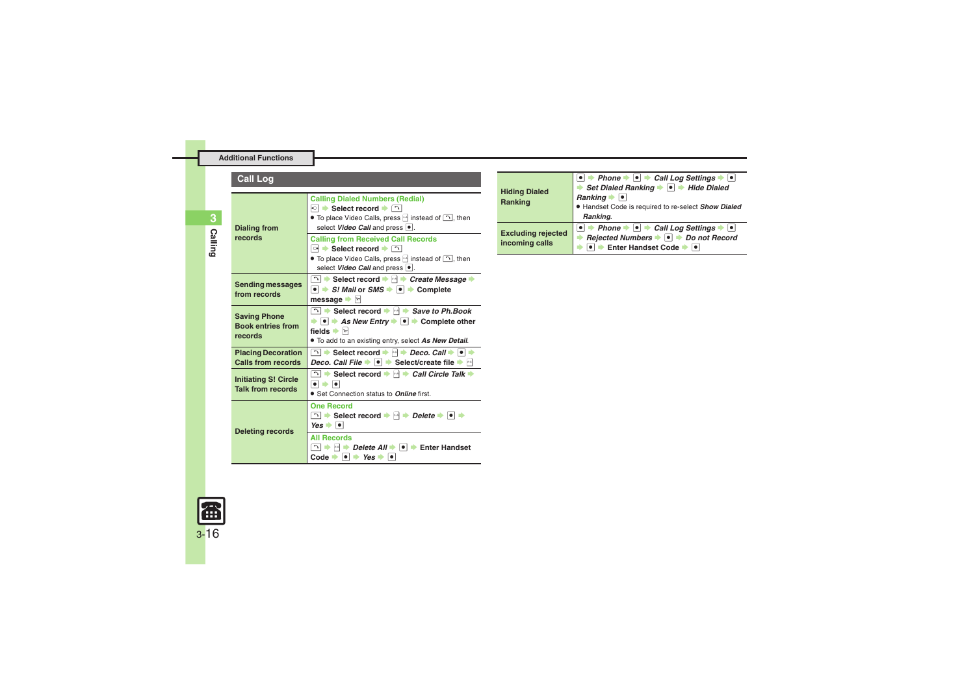### **Call Log**

| <b>Dialing from</b><br>records                             | <b>Calling Dialed Numbers (Redial)</b><br>া $\bullet$ Select record $\bullet$ া<br>• To place Video Calls, press $ \cdot $ instead of $\Box$ , then<br>select Video Call and press .<br><b>Calling from Received Call Records</b><br>া → Select record → ⊡                     |
|------------------------------------------------------------|--------------------------------------------------------------------------------------------------------------------------------------------------------------------------------------------------------------------------------------------------------------------------------|
|                                                            | • To place Video Calls, press $ \cdot $ instead of $\cap$ , then<br>select Video Call and press                                                                                                                                                                                |
| <b>Sending messages</b><br>from records                    | D → Select record → M → Create Message →<br>$\bullet$ $\bullet$ <i>S! Mail or SMS</i> $\bullet$ $\bullet$ $\bullet$ Complete<br>message $\blacktriangleright$ $\triangleright$                                                                                                 |
| <b>Saving Phone</b><br><b>Book entries from</b><br>records | $\Box$ Select record $\blacktriangleright$ $\Box$ Save to Ph. Book<br>$\rightarrow$ $\bullet$ $\rightarrow$ As New Entry $\rightarrow$ $\bullet$ $\rightarrow$ Complete other<br>fields $\Rightarrow$ $\triangleright$<br>. To add to an existing entry, select As New Detail. |
| <b>Placing Decoration</b><br><b>Calls from records</b>     | $\Box$ Select record $\rightarrow$ $\rightarrow$ <i>Deco, Call</i> $\rightarrow$ $\Box$<br>Deco. Call File $\blacktriangleright$ $\blacktriangleright$ $\blacktriangleright$ Select/create file $\blacktriangleright$ $\bowtie$                                                |
| <b>Initiating S! Circle</b><br><b>Talk from records</b>    | $\boxed{\neg}$ $\blacktriangleright$ Select record $\blacktriangleright$ $\land$ $\blacktriangleright$ Call Circle Talk $\blacktriangleright$<br>$\bullet$ $\bullet$ $\bullet$<br>• Set Connection status to <b>Online</b> first.                                              |
| <b>Deleting records</b>                                    | <b>One Record</b><br>$\Box$ $\rightarrow$ Select record $\rightarrow$ $\rightarrow$ Delete $\rightarrow$ $\rightarrow$ $\rightarrow$<br>$Yes \rightarrow \bullet$                                                                                                              |
|                                                            | <b>All Records</b><br>∎≻ ∤∞।<br><i>Delete All</i> →  •  → Enter Handset<br>Code $\bullet$ $\bullet$ $\bullet$ Yes $\bullet$<br>∣●                                                                                                                                              |

| <b>Hiding Dialed</b><br>Ranking             | • $\rightarrow$ Phone $\rightarrow$ • Call Log Settings $\rightarrow$ •<br>Set Dialed Ranking $\rightarrow$ <sup>o</sup> $\rightarrow$ Hide Dialed<br>Ranking $\bullet$ $\bullet$<br>· Handset Code is required to re-select Show Dialed<br>Ranking. |
|---------------------------------------------|------------------------------------------------------------------------------------------------------------------------------------------------------------------------------------------------------------------------------------------------------|
| <b>Excluding rejected</b><br>incoming calls | $\bullet$ $\rightarrow$ Phone $\rightarrow$ $\bullet$ $\rightarrow$ Call Log Settings $\rightarrow$ $\bullet$<br>Rejected Numbers → ● → Do not Record<br>● → Enter Handset Code → ●                                                                  |

<span id="page-15-4"></span>

<span id="page-15-3"></span><span id="page-15-2"></span><span id="page-15-1"></span><span id="page-15-0"></span>**Calling 3**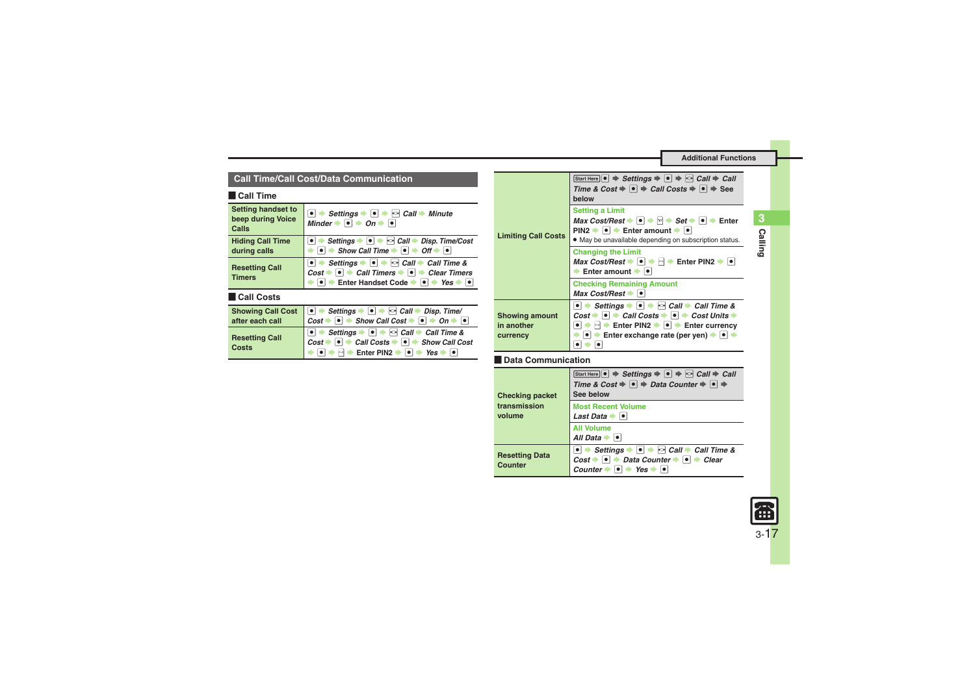#### **Call Time/Call Cost/Data Communication**

#### [ **Call Time**

<span id="page-16-0"></span>

| <b>Setting handset to</b><br>beep during Voice<br>Calls | $\bullet \Rightarrow$ Settings $\Rightarrow \bullet \Rightarrow$ Call $\Rightarrow$ Minute<br>Minder $\rightarrow$ $\rightarrow$ On $\rightarrow$ $\rightarrow$                                                                                                                        |
|---------------------------------------------------------|----------------------------------------------------------------------------------------------------------------------------------------------------------------------------------------------------------------------------------------------------------------------------------------|
| <b>Hiding Call Time</b>                                 | • Settings $\bullet$ • $\bullet$ Call $\bullet$ Disp. Time/Cost                                                                                                                                                                                                                        |
| during calls                                            | $\bullet \Rightarrow$ Show Call Time $\Rightarrow$ $\bullet \Rightarrow$ Off $\Rightarrow$ $\bullet$                                                                                                                                                                                   |
| <b>Resetting Call</b>                                   | <b>■ <math>\rightarrow</math> Settings <math>\rightarrow</math> ■ <math>\rightarrow</math> Call <math>\rightarrow</math> Call Time &amp;<br/>Cost <math>\rightarrow</math> ■ <math>\rightarrow</math> Call Timers <math>\rightarrow</math> ■ <math>\rightarrow</math> Clear Timers</b> |
| <b>Timers</b>                                           | Enter Handset Code $\rightarrow$ $\rightarrow$ Yes $\rightarrow$                                                                                                                                                                                                                       |

#### [ **Call Costs**

<span id="page-16-1"></span>

|                                       | Showing Call Cost $\bullet$ Settings $\bullet$ $\bullet$ $\bullet$ $\circ$ Call $\bullet$ Disp. Time/<br>after each call $Cost \bullet \bullet \bullet \bullet$ Show Call Cost $\bullet \bullet \bullet \bullet \bullet$ |
|---------------------------------------|--------------------------------------------------------------------------------------------------------------------------------------------------------------------------------------------------------------------------|
|                                       |                                                                                                                                                                                                                          |
| <b>Resetting Call</b><br><b>Costs</b> |                                                                                                                                                                                                                          |
|                                       |                                                                                                                                                                                                                          |
|                                       |                                                                                                                                                                                                                          |

<span id="page-16-2"></span>

| <b>Limiting Call Costs</b>                      | Start Here $\bullet \Rightarrow$ Settings $\Rightarrow \bullet \Rightarrow$ Call $\Rightarrow$ Call<br>Time & Cost $\Rightarrow$ $\bullet$ $\Rightarrow$ Call Costs $\Rightarrow$ $\bullet$ $\Rightarrow$ See<br>below                                                                                             |
|-------------------------------------------------|--------------------------------------------------------------------------------------------------------------------------------------------------------------------------------------------------------------------------------------------------------------------------------------------------------------------|
|                                                 | <b>Setting a Limit</b><br><i>Max Cost/Rest</i> $\rightarrow$ $\mid \bullet \mid \rightarrow \mid \times \mid \Rightarrow$ <i>Set</i> $\rightarrow \mid \bullet \mid \Rightarrow$ Enter<br>$PIN2 \rightarrow \bullet$ Finter amount $\rightarrow \bullet$<br>• May be unavailable depending on subscription status. |
|                                                 | <b>Changing the Limit</b><br>Max Cost/Rest $\bullet \bullet \bullet \bullet$ Enter PIN2 $\bullet \bullet$<br>Enter amount $\rightarrow$ $\mid \bullet \mid$                                                                                                                                                        |
|                                                 | <b>Checking Remaining Amount</b><br>Max Cost/Rest $\rightarrow$ $\mid \cdot \mid$                                                                                                                                                                                                                                  |
| <b>Showing amount</b><br>in another<br>currency | • Settings • • • Call • Call Time &<br>$Cost + \cdot \cdot \cdot$ Call Costs $\cdot \cdot \cdot$ $\cdot \cdot$ Cost Units $\cdot \cdot$<br>Enter PIN2 $\rightarrow$ $\rightarrow$ Enter currency<br>$\mu-\mu$<br>Enter exchange rate (per yen) $\rightarrow$ $\rightarrow$ $\rightarrow$                           |

#### [ **Data Communication**

<span id="page-16-4"></span><span id="page-16-3"></span>

| <b>Checking packet</b><br>transmission<br>volume | Start Here $\bullet \Rightarrow$ Settings $\Rightarrow \bullet \Rightarrow$ Call $\Rightarrow$ Call<br>Time & Cost $\Rightarrow$ $\bullet$ $\Rightarrow$ Data Counter $\Rightarrow$ $\circ$ $\Rightarrow$<br>See below |  |
|--------------------------------------------------|------------------------------------------------------------------------------------------------------------------------------------------------------------------------------------------------------------------------|--|
|                                                  | <b>Most Recent Volume</b><br>Last Data $\bullet$ $\bullet$                                                                                                                                                             |  |
|                                                  | <b>All Volume</b><br>All Data $\rightarrow$ $\bullet$                                                                                                                                                                  |  |
| <b>Resetting Data</b><br>Counter                 | Settings $\bullet \bullet \bullet$ Call $\bullet$ Call Time &<br>$Cost + \bullet$ $\rightarrow$ Data Counter $\rightarrow \circ$ $\rightarrow$ Clear<br>$\vert \bullet \vert \bullet$ Yes<br>Counter                   |  |

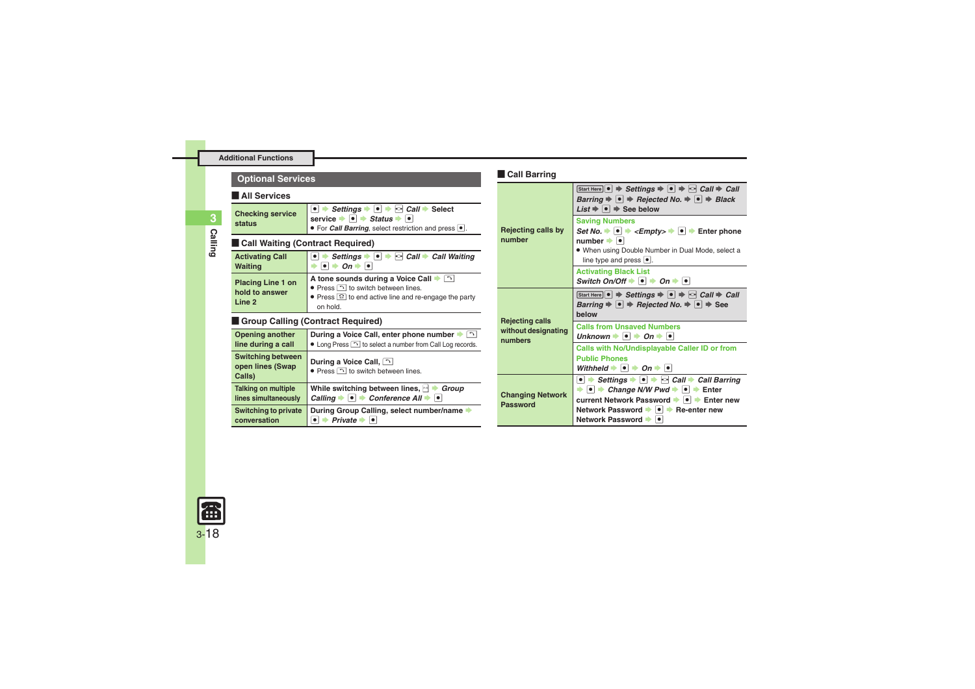<span id="page-17-1"></span><span id="page-17-0"></span>

| <b>Call Barring</b><br><b>Optional Services</b>                 |                                                                                                                                                                                                                      |                                  |
|-----------------------------------------------------------------|----------------------------------------------------------------------------------------------------------------------------------------------------------------------------------------------------------------------|----------------------------------|
| <b>All Services</b>                                             |                                                                                                                                                                                                                      |                                  |
| <b>Checking service</b><br>status                               | $\bullet$ $\bullet$ Settings $\bullet$ $\bullet$ $\bullet$ Call $\bullet$ Select<br>service $\bullet \bullet$ Status $\bullet \bullet$<br>• For <i>Call Barring</i> , select restriction and press •.                | <b>Rejecting calls</b>           |
| <b>Call Waiting (Contract Required)</b>                         | number                                                                                                                                                                                                               |                                  |
| <b>Activating Call</b><br>Waiting                               | Settings $\bullet \bullet \bullet$ Call $\bullet$ Call Waiting<br>$On +$<br>٠<br>٠                                                                                                                                   |                                  |
| <b>Placing Line 1 on</b><br>hold to answer<br>Line <sub>2</sub> | A tone sounds during a Voice Call → [bottle Sounds during a Voice Call → [bottle Sounds<br>• Press $\bigcap$ to switch between lines.<br>• Press <sup>2</sup> to end active line and re-engage the party<br>on hold. |                                  |
| <b>Group Calling (Contract Required)</b>                        | <b>Rejecting calls</b>                                                                                                                                                                                               |                                  |
| <b>Opening another</b><br>line during a call                    | During a Voice Call, enter phone number $\blacktriangleright$ $\Box$<br>• Long Press <a>&gt; 1</a> to select a number from Call Log records.                                                                         | without designa<br>numbers       |
| <b>Switching between</b><br>open lines (Swap<br>Calls)          | During a Voice Call, [2]<br>• Press $\bigcap$ to switch between lines.                                                                                                                                               |                                  |
| <b>Talking on multiple</b><br>lines simultaneously              | While switching between lines, H<br>Group<br>Calling $\rightarrow \bullet \rightarrow$ Conference All $\rightarrow \bullet$                                                                                          | <b>Changing Netw</b><br>Password |
| <b>Switching to private</b><br>conversation                     | During Group Calling, select number/name +<br>$\bullet$ $\bullet$ Private $\bullet$ $\bullet$                                                                                                                        |                                  |

<span id="page-17-3"></span>

|                                                          | Start Here $\bullet \Rightarrow$ Settings $\Rightarrow \bullet \Rightarrow$ Call $\Rightarrow$ Call<br>Barring $\Rightarrow$ $\bullet$ $\Rightarrow$ Rejected No. $\Rightarrow$ $\bullet$ $\Rightarrow$ Black<br>List $\bullet$ $\bullet$ $\bullet$ See below                                         |
|----------------------------------------------------------|-------------------------------------------------------------------------------------------------------------------------------------------------------------------------------------------------------------------------------------------------------------------------------------------------------|
| <b>Rejecting calls by</b><br>number                      | <b>Saving Numbers</b><br>Set No. $\rightarrow$ $\rightarrow$ <empty><math>\rightarrow</math> <math>\rightarrow</math> Enter phone<br/><math>number \rightarrow \bullet</math><br/>. When using Double Number in Dual Mode, select a<br/>line type and press <math>\bullet</math>.</empty>             |
|                                                          | <b>Activating Black List</b><br>Switch On/Off $\rightarrow$ $\bullet$ $\rightarrow$ On $\rightarrow$ $\bullet$                                                                                                                                                                                        |
| <b>Rejecting calls</b><br>without designating<br>numbers | Start Here $\bullet \Rightarrow$ Settings $\Rightarrow \bullet \Rightarrow$ $\bullet$ Call $\Rightarrow$ Call<br>Barring $\Rightarrow$ $\bullet$ $\Rightarrow$ Rejected No. $\Rightarrow$ $\bullet$ $\Rightarrow$ See<br>helow                                                                        |
|                                                          | <b>Calls from Unsaved Numbers</b><br>Unknown $\rightarrow$ $\rightarrow$ On $\rightarrow$ $\rightarrow$                                                                                                                                                                                               |
|                                                          | Calls with No/Undisplayable Caller ID or from<br><b>Public Phones</b><br>Withheld $\Rightarrow$ $\bullet$ $\Rightarrow$ On $\Rightarrow$ $\bullet$                                                                                                                                                    |
| <b>Changing Network</b><br>Password                      | • Settings $\rightarrow$ • • $\rightarrow$ Call $\rightarrow$ Call Barring<br>$\rightarrow$ $\bullet$ $\rightarrow$ Change N/W Pwd $\rightarrow$ $\bullet$ $\rightarrow$ Enter<br>current Network Password → ● → Enter new<br>Network Password $\rightarrow \bullet$ Re-enter new<br>Network Password |

<span id="page-17-2"></span>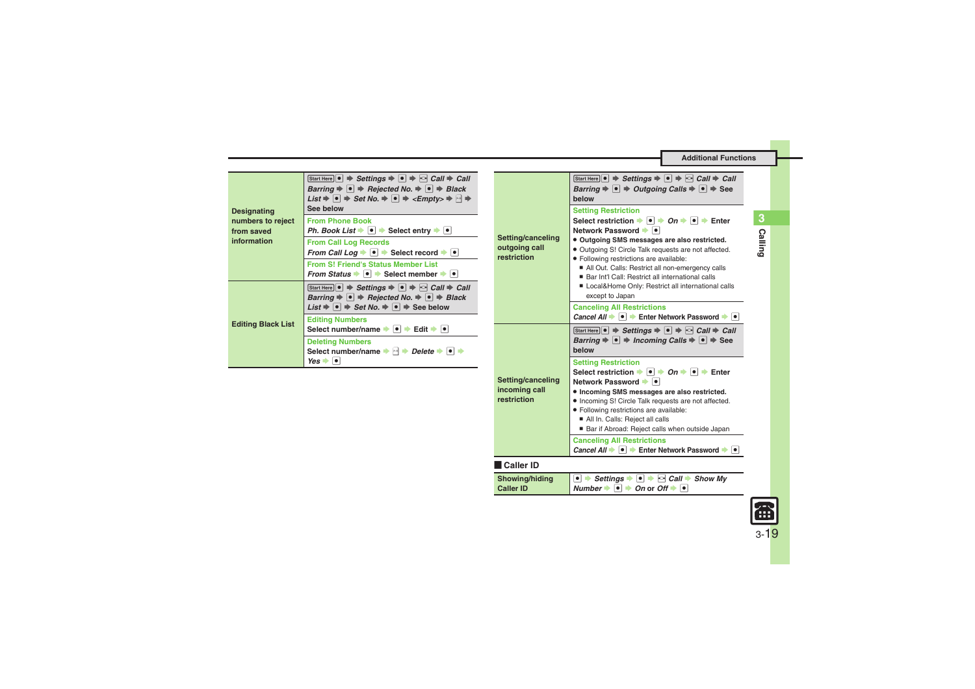. **Incoming SMS messages are also restricted.** . Incoming S! Circle Talk requests are not affected.

■ Bar if Abroad: Reject calls when outside Japan

*Cancel All*  $\rightarrow$  <sup>●</sup>  $\rightarrow$  Enter Network Password  $\rightarrow$  <sup>●</sup>

 $\bullet \Rightarrow$  Settings  $\Rightarrow$   $\bullet \Rightarrow$   $\circ$  *Call*  $\Rightarrow$  Show My  $Number + **o**$   $\rightarrow$  *On* or *Off*  $\rightarrow$   $\bullet$ 

. Following restrictions are available: ■ All In. Calls: Reject all calls

**Canceling All Restrictions**

|                                                | Start Here $\bullet \Rightarrow$ Settings $\Rightarrow \bullet \Rightarrow$ Call $\Rightarrow$ Call<br>Barring $\Rightarrow$ $\bullet$ $\Rightarrow$ Rejected No. $\Rightarrow$ $\bullet$ $\Rightarrow$ Black<br><i>List</i> $\Rightarrow$ $\boxed{\bullet}$ $\Rightarrow$ <i>Set No.</i> $\Rightarrow$ $\boxed{\bullet}$ $\Rightarrow$ < <i>Empty&gt;</i> $\Rightarrow$ $\boxed{\rightarrow}$ | Setting/canceling<br>outgoing call<br>restriction | Start Here $\bullet \Rightarrow$ Settings $\Rightarrow \bullet \Rightarrow$ $\circ \text{Call} \Rightarrow$ Call $\Rightarrow$ Call<br>Barring $\Rightarrow$ $\bullet$ $\Rightarrow$ Outgoing Calls $\Rightarrow$ $\bullet$ $\Rightarrow$ See<br>helow    |
|------------------------------------------------|------------------------------------------------------------------------------------------------------------------------------------------------------------------------------------------------------------------------------------------------------------------------------------------------------------------------------------------------------------------------------------------------|---------------------------------------------------|-----------------------------------------------------------------------------------------------------------------------------------------------------------------------------------------------------------------------------------------------------------|
| <b>Designating</b>                             | See below                                                                                                                                                                                                                                                                                                                                                                                      |                                                   | <b>Setting Restriction</b>                                                                                                                                                                                                                                |
| numbers to reject<br>from saved<br>information | <b>From Phone Book</b><br>Ph. Book List $\blacktriangleright$ $\blacktriangleright$ $\blacktriangleright$ Select entry $\blacktriangleright$ $\blacktriangleright$                                                                                                                                                                                                                             |                                                   | Select restriction $\Rightarrow$ $\bullet$ $\Rightarrow$ $\circ$ $\Rightarrow$ $\bullet$ $\Rightarrow$ Enter<br>Network Password → ●                                                                                                                      |
|                                                | <b>From Call Log Records</b><br>From Call Log $\rightarrow \bullet$ Select record $\rightarrow \bullet$                                                                                                                                                                                                                                                                                        |                                                   | • Outgoing SMS messages are also restricted.<br>• Outgoing S! Circle Talk requests are not affected.<br>· Following restrictions are available:<br>All Out. Calls: Restrict all non-emergency calls<br>■ Bar Int'l Call: Restrict all international calls |
|                                                | <b>From S! Friend's Status Member List</b><br>From Status $\blacktriangleright$ $\blacktriangleright$ $\blacktriangleright$ Select member $\blacktriangleright$ $\blacktriangleright$                                                                                                                                                                                                          |                                                   |                                                                                                                                                                                                                                                           |
| <b>Editing Black List</b>                      | Start Here $\bullet \Rightarrow$ Settings $\Rightarrow \bullet \Rightarrow$ Call $\Rightarrow$ Call<br>Barring $\Rightarrow$ $\bullet$ $\Rightarrow$ Rejected No. $\Rightarrow$ $\bullet$ $\Rightarrow$ Black<br>List $\Rightarrow$ $\boxed{\bullet}$ $\Rightarrow$ Set No. $\Rightarrow$ $\boxed{\bullet}$ $\Rightarrow$ See below<br><b>Editing Numbers</b>                                  |                                                   | Local&Home Only: Restrict all international calls<br>except to Japan                                                                                                                                                                                      |
|                                                |                                                                                                                                                                                                                                                                                                                                                                                                |                                                   | <b>Canceling All Restrictions</b><br><i>Cancel All</i> $\rightarrow \bullet$ <b>Enter Network Password</b> $\rightarrow \bullet$                                                                                                                          |
|                                                | Select number/name $\rightarrow$ $\rightarrow$ Edit $\rightarrow$ $\rightarrow$                                                                                                                                                                                                                                                                                                                |                                                   | Start Here $\bullet \Rightarrow$ Settings $\Rightarrow \bullet \Rightarrow$ Call $\Rightarrow$ Call                                                                                                                                                       |
|                                                | <b>Deleting Numbers</b><br>Select number/name $\rightarrow$ $\rightarrow$ Delete $\rightarrow$ $\rightarrow$                                                                                                                                                                                                                                                                                   |                                                   | Barring $\Rightarrow$ $\bullet$ $\Rightarrow$ Incoming Calls $\Rightarrow$ $\bullet$ $\Rightarrow$ See<br>below                                                                                                                                           |
|                                                | $Yes \rightarrow \bullet$                                                                                                                                                                                                                                                                                                                                                                      |                                                   | <b>Setting Restriction</b>                                                                                                                                                                                                                                |
|                                                |                                                                                                                                                                                                                                                                                                                                                                                                | Setting/canceling                                 | Select restriction $\rightarrow \vert \bullet \vert \rightarrow On \rightarrow \vert \bullet \vert \rightarrow$ Enter<br>Network Password →  ●                                                                                                            |

[ **Caller ID**

**Showing/hiding Caller ID**

<span id="page-18-1"></span><span id="page-18-0"></span>**incoming call restriction**

**EEE** 

**Calling**

**3**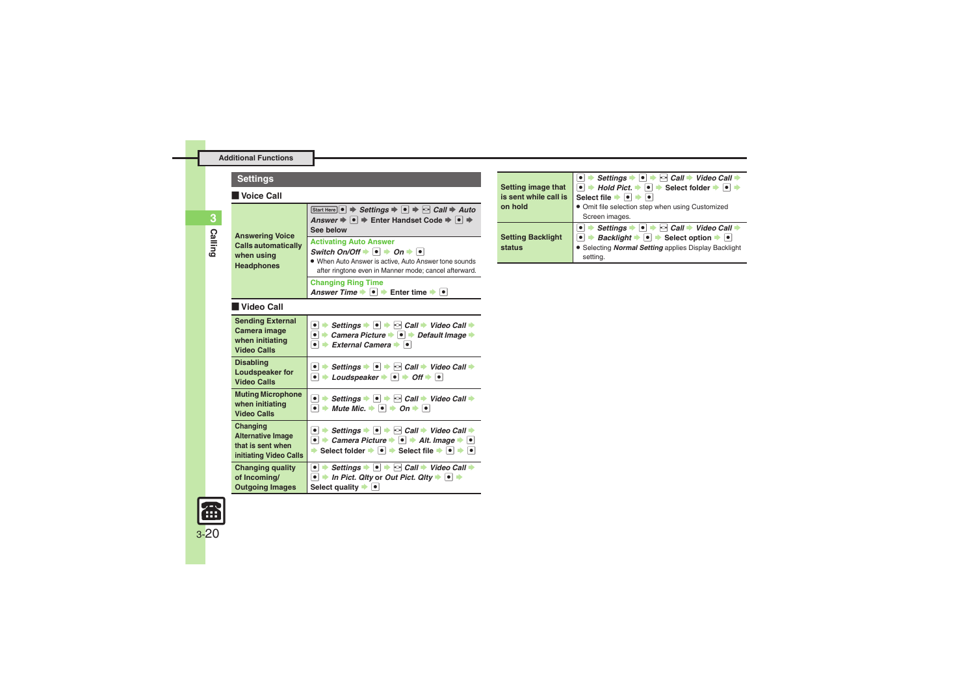| <b>Settings</b>                                                                         |                                                                                                                                                                                                                                                                                                                                                    |  |
|-----------------------------------------------------------------------------------------|----------------------------------------------------------------------------------------------------------------------------------------------------------------------------------------------------------------------------------------------------------------------------------------------------------------------------------------------------|--|
| Voice Call                                                                              |                                                                                                                                                                                                                                                                                                                                                    |  |
| <b>Answering Voice</b><br><b>Calls automatically</b><br>when using<br><b>Headphones</b> | Start Here $\bullet \Rightarrow$ Settings $\Rightarrow \bullet \Rightarrow$ $\circ$ Call $\Rightarrow$ Auto<br>Answer $\Rightarrow$ $\bullet$ $\Rightarrow$ Enter Handset Code $\Rightarrow$ $\bullet$ $\Rightarrow$<br>See below                                                                                                                  |  |
|                                                                                         | <b>Activating Auto Answer</b><br>Switch On/Off $\blacktriangleright$ $\lceil \bullet \rceil$ $\blacktriangleright$ On $\blacktriangleright$ $\lceil \bullet \rceil$<br>. When Auto Answer is active, Auto Answer tone sounds<br>after ringtone even in Manner mode; cancel afterward.                                                              |  |
|                                                                                         | <b>Changing Ring Time</b><br>Answer Time $\rightarrow \bullet$ $\rightarrow$ Enter time $\rightarrow \bullet$                                                                                                                                                                                                                                      |  |
| Video Call                                                                              |                                                                                                                                                                                                                                                                                                                                                    |  |
| <b>Sending External</b><br>Camera image<br>when initiating<br><b>Video Calls</b>        | $\bullet$ $\Rightarrow$ Settings $\bullet$ $\bullet$ $\Rightarrow$ $\circ$ Call $\Rightarrow$ Video Call $\Rightarrow$<br>• Camera Picture • • Pefault Image •<br>$\bullet$ $\bullet$ External Camera $\bullet$ $\bullet$                                                                                                                          |  |
| <b>Disabling</b><br><b>Loudspeaker for</b><br><b>Video Calls</b>                        | $\bullet$ $\Rightarrow$ Settings $\bullet$ $\bullet$ $\Rightarrow$ $\circ$ Call $\Rightarrow$ Video Call $\Rightarrow$<br>$\bullet$ $\bullet$ Loudspeaker $\bullet$ $\bullet$ $\bullet$ Off $\bullet$ $\bullet$                                                                                                                                    |  |
| <b>Muting Microphone</b><br>when initiating<br><b>Video Calls</b>                       | $\bullet$ $\Rightarrow$ Settings $\bullet$ $\bullet$ $\Rightarrow$ $\circ$ Call $\Rightarrow$ Video Call $\Rightarrow$<br>$\bullet$ $\bullet$ Mute Mic. $\bullet$ $\bullet$ $\bullet$ On $\bullet$ $\bullet$                                                                                                                                       |  |
| Changing<br><b>Alternative Image</b><br>that is sent when<br>initiating Video Calls     | $\bullet$ $\Rightarrow$ Settings $\bullet$ $\bullet$ $\Rightarrow$ $\circ$ Call $\Rightarrow$ Video Call $\Rightarrow$<br>• $\rightarrow$ Camera Picture $\rightarrow$ • Alt. Image $\rightarrow$ •<br>Select folder $\bigtriangledown$ $\bigtriangledown$ Select file $\bigtriangledown$ $\bigtriangledown$ $\bigtriangledown$ $\bigtriangledown$ |  |
| <b>Changing quality</b><br>of Incomina/<br><b>Outgoing Images</b>                       | • Settings $\rightarrow$ • $\rightarrow$ $\odot$ Call $\rightarrow$ Video Call $\rightarrow$<br>In Pict. Qity or Out Pict. Qity $\rightarrow$ $\bullet$<br>$\bullet$ $\vdash$<br>Select quality $\bullet$ $\bullet$                                                                                                                                |  |

|                          | Settings $\rightarrow \bullet$ $\rightarrow \bullet$ Call $\rightarrow$ Video Call $\rightarrow$                                             |
|--------------------------|----------------------------------------------------------------------------------------------------------------------------------------------|
| Setting image that       | $\bullet$ $\Rightarrow$ Hold Pict. $\Rightarrow$ $\boxed{\bullet}$ $\Rightarrow$ Select folder $\Rightarrow$ $\boxed{\bullet}$ $\Rightarrow$ |
| is sent while call is    | Select file $\rightarrow$ $\rightarrow$                                                                                                      |
| on hold                  | • Omit file selection step when using Customized                                                                                             |
|                          | Screen images.                                                                                                                               |
|                          | → Settings → $\bullet$ → $\odot$ Call → Video Call →                                                                                         |
| <b>Setting Backlight</b> | $\bullet$ $\rightarrow$ <i>Backlight</i> $\rightarrow$ $\bullet$ $\rightarrow$ Select option $\rightarrow$ $\bullet$                         |
| status                   | • Selecting <b>Normal Setting</b> applies Display Backlight                                                                                  |
|                          | setting.                                                                                                                                     |

<span id="page-19-3"></span><span id="page-19-2"></span>

<span id="page-19-1"></span><span id="page-19-0"></span>**3**